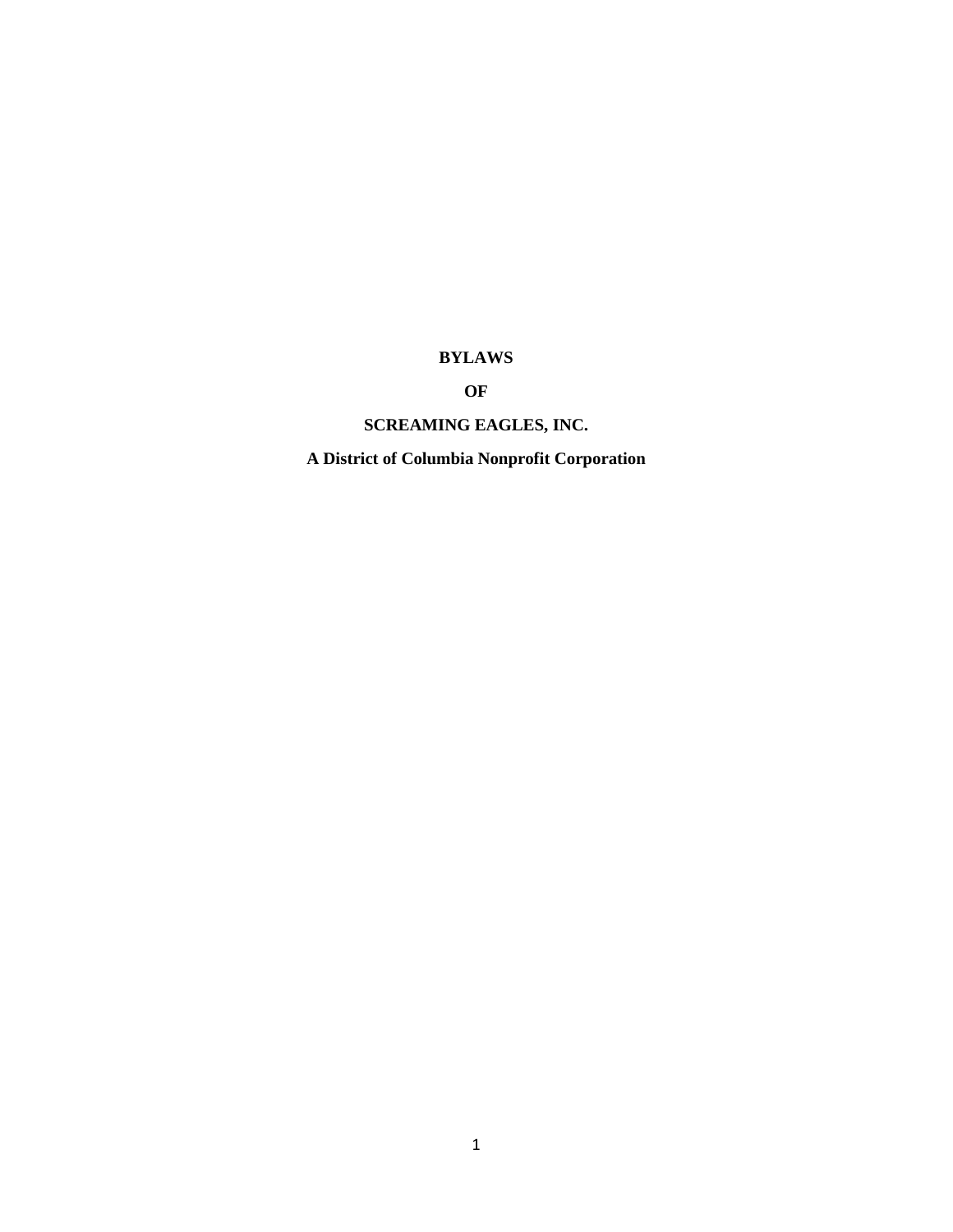# **BYLAWS**

# **OF**

# **SCREAMING EAGLES, INC.**

**A District of Columbia Nonprofit Corporation**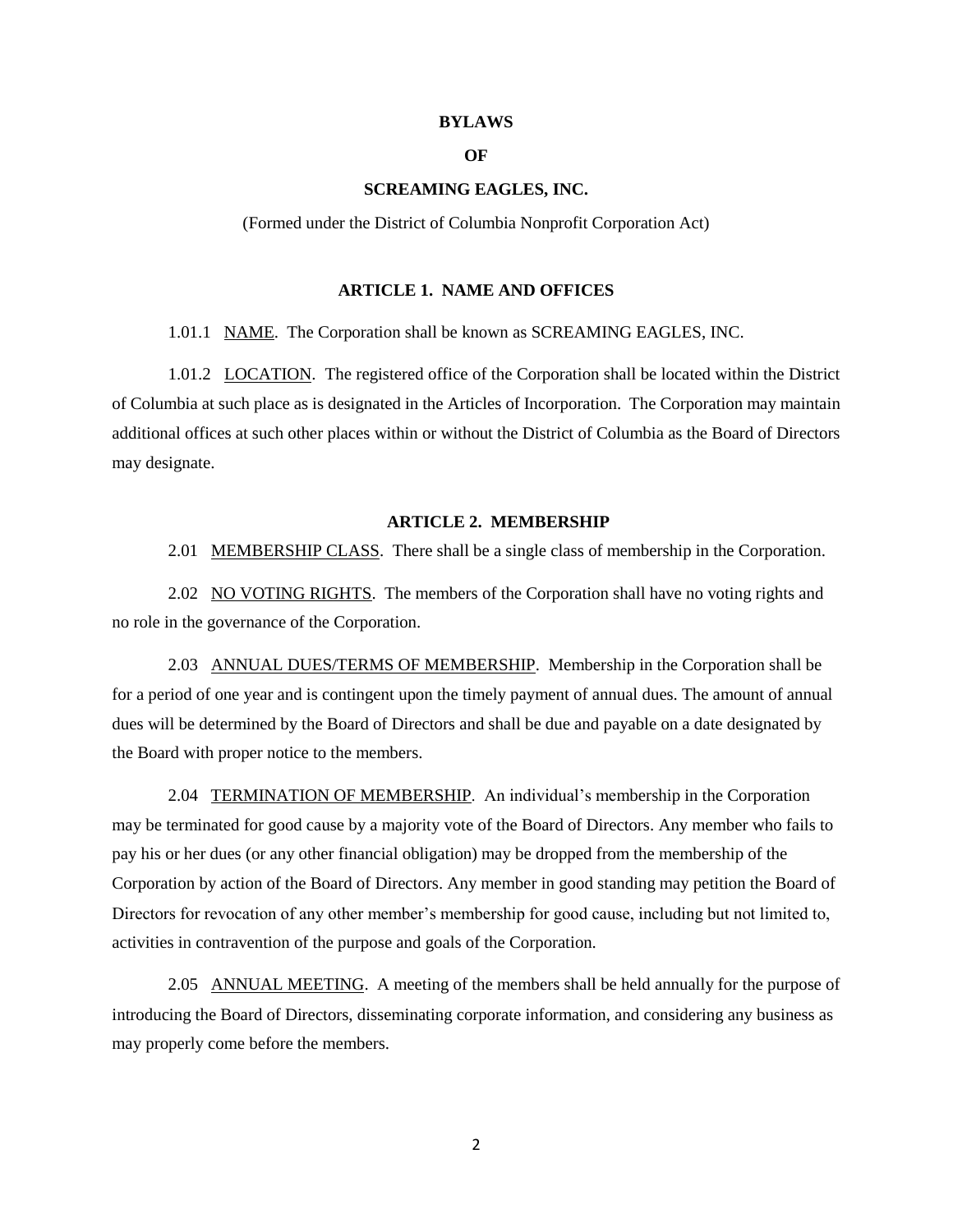#### **BYLAWS**

# **OF**

#### **SCREAMING EAGLES, INC.**

(Formed under the District of Columbia Nonprofit Corporation Act)

#### **ARTICLE 1. NAME AND OFFICES**

1.01.1 NAME. The Corporation shall be known as SCREAMING EAGLES, INC.

1.01.2 **LOCATION**. The registered office of the Corporation shall be located within the District of Columbia at such place as is designated in the Articles of Incorporation. The Corporation may maintain additional offices at such other places within or without the District of Columbia as the Board of Directors may designate.

#### **ARTICLE 2. MEMBERSHIP**

2.01 MEMBERSHIP CLASS. There shall be a single class of membership in the Corporation.

2.02 NO VOTING RIGHTS. The members of the Corporation shall have no voting rights and no role in the governance of the Corporation.

2.03 ANNUAL DUES/TERMS OF MEMBERSHIP. Membership in the Corporation shall be for a period of one year and is contingent upon the timely payment of annual dues. The amount of annual dues will be determined by the Board of Directors and shall be due and payable on a date designated by the Board with proper notice to the members.

2.04 TERMINATION OF MEMBERSHIP. An individual's membership in the Corporation may be terminated for good cause by a majority vote of the Board of Directors. Any member who fails to pay his or her dues (or any other financial obligation) may be dropped from the membership of the Corporation by action of the Board of Directors. Any member in good standing may petition the Board of Directors for revocation of any other member's membership for good cause, including but not limited to, activities in contravention of the purpose and goals of the Corporation.

2.05 ANNUAL MEETING. A meeting of the members shall be held annually for the purpose of introducing the Board of Directors, disseminating corporate information, and considering any business as may properly come before the members.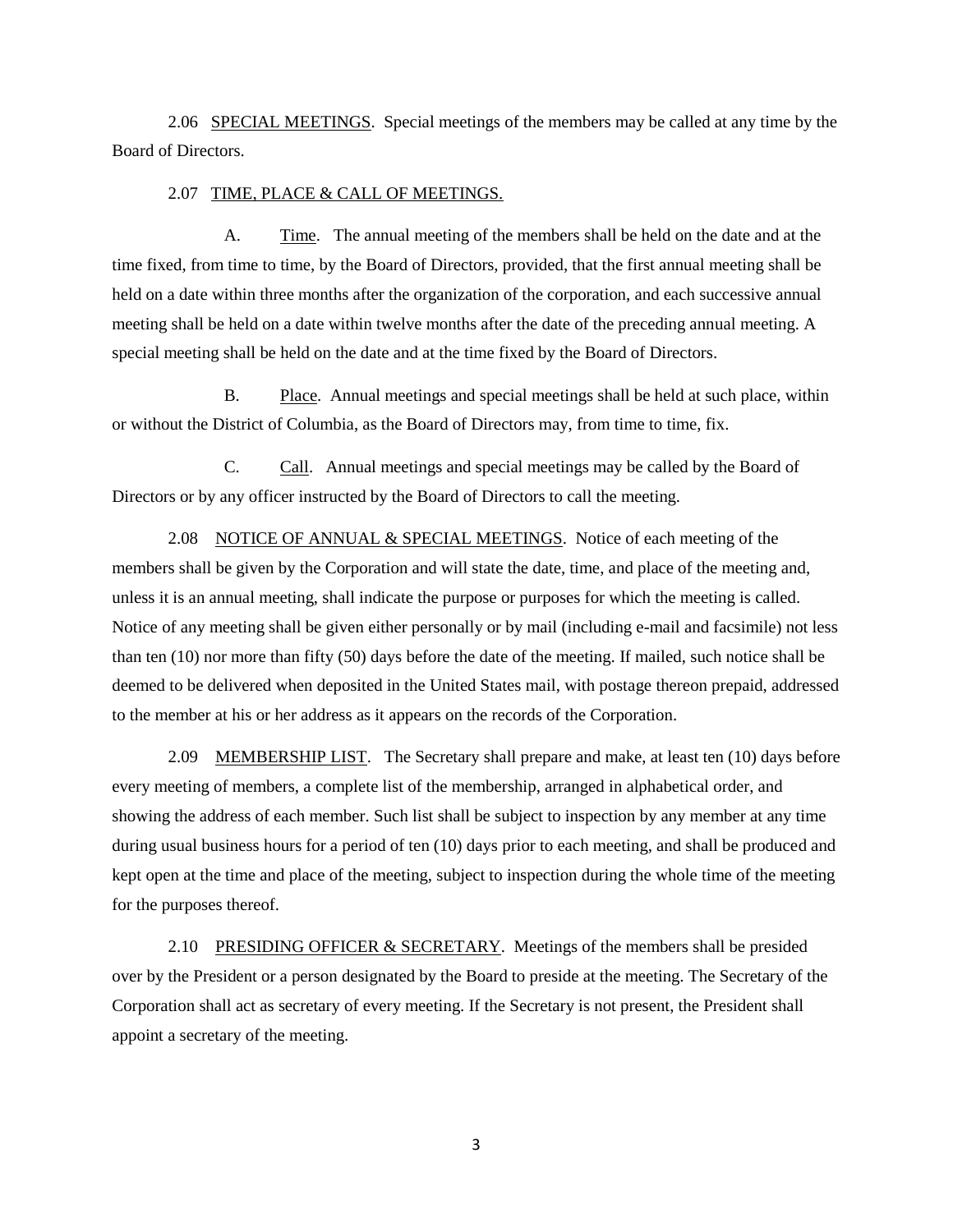2.06 SPECIAL MEETINGS. Special meetings of the members may be called at any time by the Board of Directors.

#### 2.07 TIME, PLACE & CALL OF MEETINGS.

A. Time. The annual meeting of the members shall be held on the date and at the time fixed, from time to time, by the Board of Directors, provided, that the first annual meeting shall be held on a date within three months after the organization of the corporation, and each successive annual meeting shall be held on a date within twelve months after the date of the preceding annual meeting. A special meeting shall be held on the date and at the time fixed by the Board of Directors.

B. Place. Annual meetings and special meetings shall be held at such place, within or without the District of Columbia, as the Board of Directors may, from time to time, fix.

C. Call. Annual meetings and special meetings may be called by the Board of Directors or by any officer instructed by the Board of Directors to call the meeting.

2.08 NOTICE OF ANNUAL & SPECIAL MEETINGS. Notice of each meeting of the members shall be given by the Corporation and will state the date, time, and place of the meeting and, unless it is an annual meeting, shall indicate the purpose or purposes for which the meeting is called. Notice of any meeting shall be given either personally or by mail (including e-mail and facsimile) not less than ten (10) nor more than fifty (50) days before the date of the meeting. If mailed, such notice shall be deemed to be delivered when deposited in the United States mail, with postage thereon prepaid, addressed to the member at his or her address as it appears on the records of the Corporation.

2.09 MEMBERSHIP LIST. The Secretary shall prepare and make, at least ten (10) days before every meeting of members, a complete list of the membership, arranged in alphabetical order, and showing the address of each member. Such list shall be subject to inspection by any member at any time during usual business hours for a period of ten (10) days prior to each meeting, and shall be produced and kept open at the time and place of the meeting, subject to inspection during the whole time of the meeting for the purposes thereof.

2.10 PRESIDING OFFICER  $&$  SECRETARY. Meetings of the members shall be presided over by the President or a person designated by the Board to preside at the meeting. The Secretary of the Corporation shall act as secretary of every meeting. If the Secretary is not present, the President shall appoint a secretary of the meeting.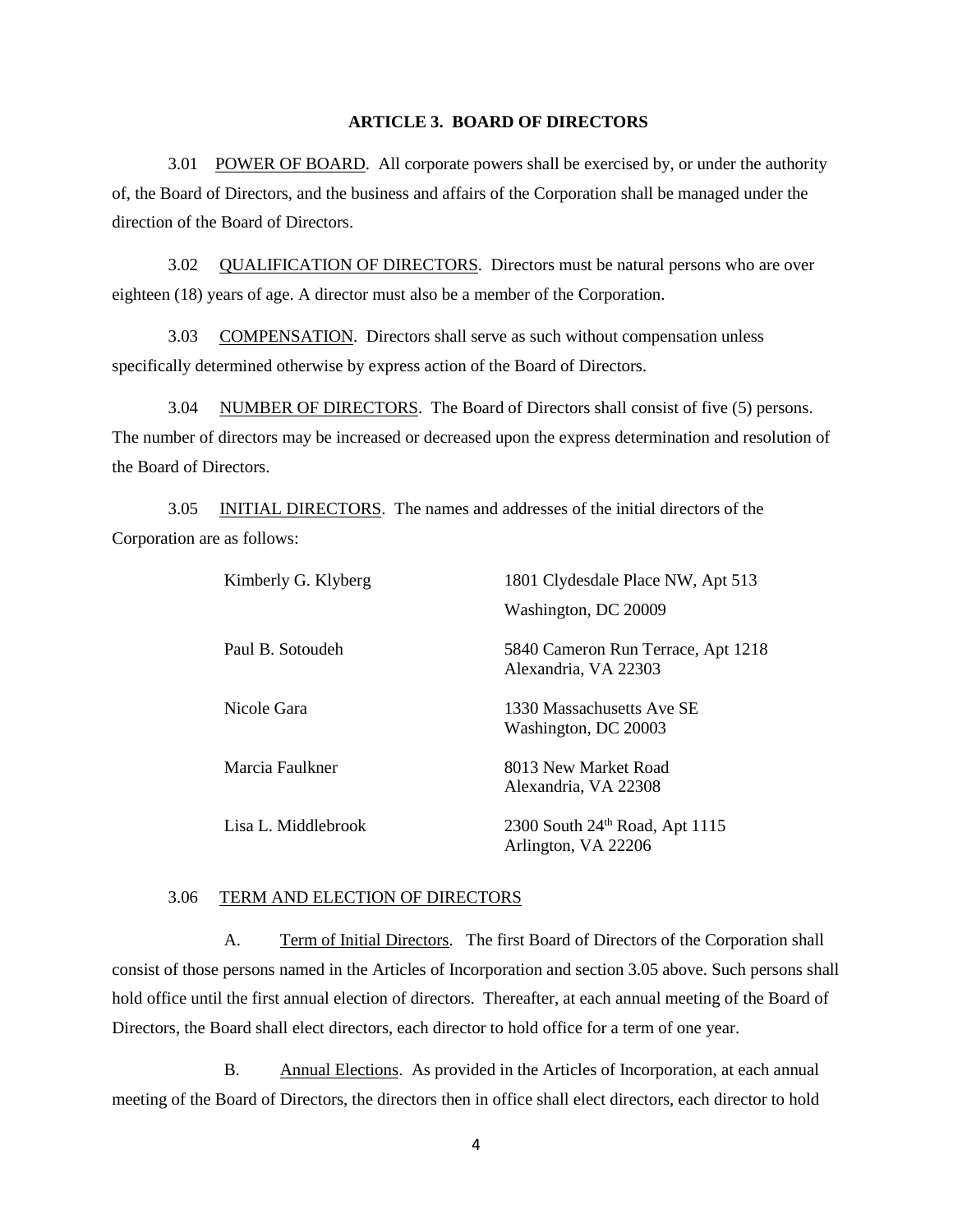## **ARTICLE 3. BOARD OF DIRECTORS**

3.01 POWER OF BOARD. All corporate powers shall be exercised by, or under the authority of, the Board of Directors, and the business and affairs of the Corporation shall be managed under the direction of the Board of Directors.

3.02 QUALIFICATION OF DIRECTORS. Directors must be natural persons who are over eighteen (18) years of age. A director must also be a member of the Corporation.

3.03 COMPENSATION. Directors shall serve as such without compensation unless specifically determined otherwise by express action of the Board of Directors.

3.04 NUMBER OF DIRECTORS. The Board of Directors shall consist of five (5) persons. The number of directors may be increased or decreased upon the express determination and resolution of the Board of Directors.

3.05 INITIAL DIRECTORS. The names and addresses of the initial directors of the Corporation are as follows:

| Kimberly G. Klyberg | 1801 Clydesdale Place NW, Apt 513                                 |
|---------------------|-------------------------------------------------------------------|
|                     | Washington, DC 20009                                              |
| Paul B. Sotoudeh    | 5840 Cameron Run Terrace, Apt 1218<br>Alexandria, VA 22303        |
| Nicole Gara         | 1330 Massachusetts Ave SE<br>Washington, DC 20003                 |
| Marcia Faulkner     | 8013 New Market Road<br>Alexandria, VA 22308                      |
| Lisa L. Middlebrook | 2300 South 24 <sup>th</sup> Road, Apt 1115<br>Arlington, VA 22206 |

### 3.06 TERM AND ELECTION OF DIRECTORS

A. Term of Initial Directors. The first Board of Directors of the Corporation shall consist of those persons named in the Articles of Incorporation and section 3.05 above. Such persons shall hold office until the first annual election of directors. Thereafter, at each annual meeting of the Board of Directors, the Board shall elect directors, each director to hold office for a term of one year.

B. Annual Elections. As provided in the Articles of Incorporation, at each annual meeting of the Board of Directors, the directors then in office shall elect directors, each director to hold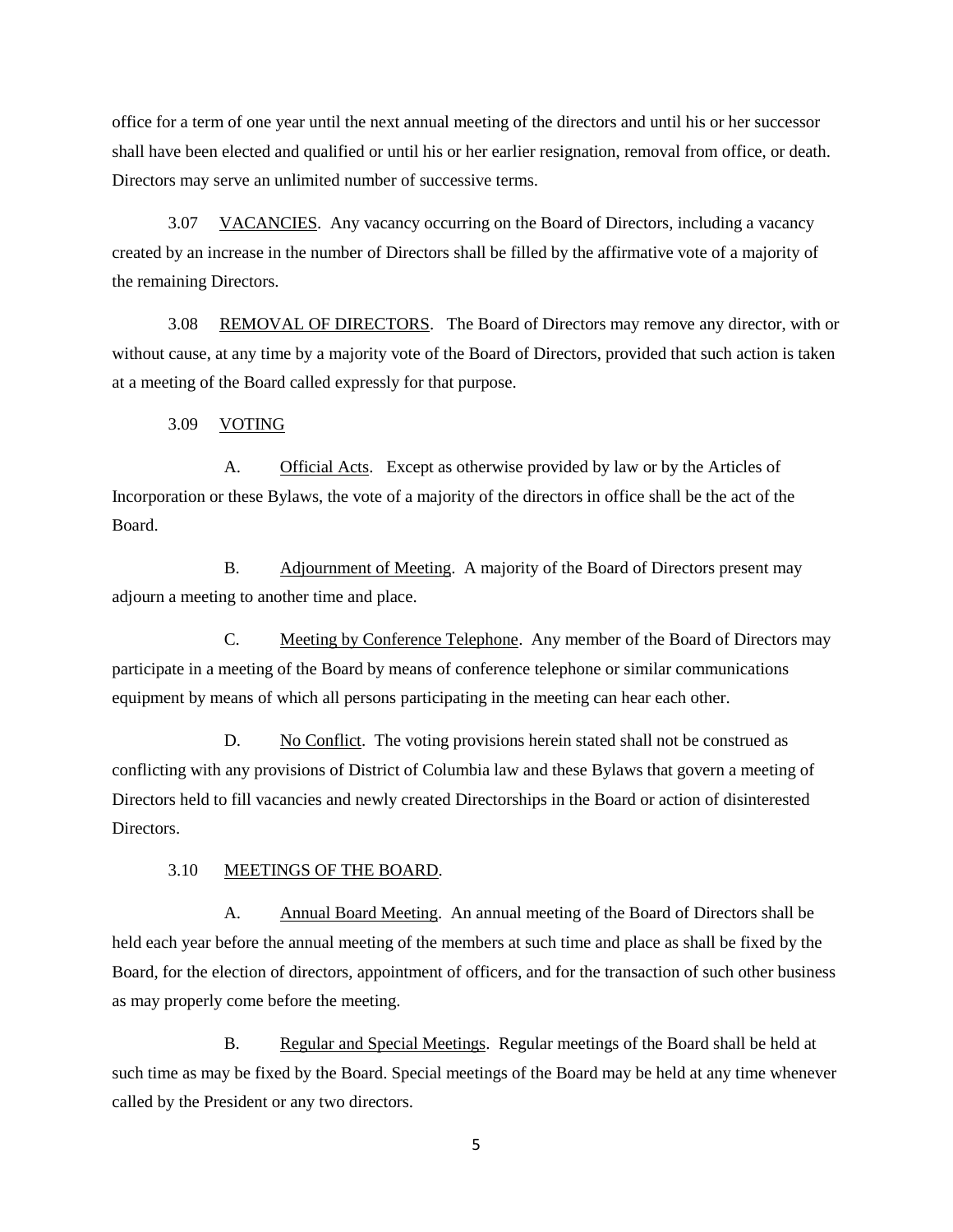office for a term of one year until the next annual meeting of the directors and until his or her successor shall have been elected and qualified or until his or her earlier resignation, removal from office, or death. Directors may serve an unlimited number of successive terms.

3.07 VACANCIES. Any vacancy occurring on the Board of Directors, including a vacancy created by an increase in the number of Directors shall be filled by the affirmative vote of a majority of the remaining Directors.

3.08 REMOVAL OF DIRECTORS. The Board of Directors may remove any director, with or without cause, at any time by a majority vote of the Board of Directors, provided that such action is taken at a meeting of the Board called expressly for that purpose.

#### 3.09 VOTING

A. Official Acts. Except as otherwise provided by law or by the Articles of Incorporation or these Bylaws, the vote of a majority of the directors in office shall be the act of the Board.

B. Adjournment of Meeting. A majority of the Board of Directors present may adjourn a meeting to another time and place.

C. Meeting by Conference Telephone. Any member of the Board of Directors may participate in a meeting of the Board by means of conference telephone or similar communications equipment by means of which all persons participating in the meeting can hear each other.

D. No Conflict. The voting provisions herein stated shall not be construed as conflicting with any provisions of District of Columbia law and these Bylaws that govern a meeting of Directors held to fill vacancies and newly created Directorships in the Board or action of disinterested Directors.

#### 3.10 MEETINGS OF THE BOARD.

A. Annual Board Meeting. An annual meeting of the Board of Directors shall be held each year before the annual meeting of the members at such time and place as shall be fixed by the Board, for the election of directors, appointment of officers, and for the transaction of such other business as may properly come before the meeting.

B. Regular and Special Meetings. Regular meetings of the Board shall be held at such time as may be fixed by the Board. Special meetings of the Board may be held at any time whenever called by the President or any two directors.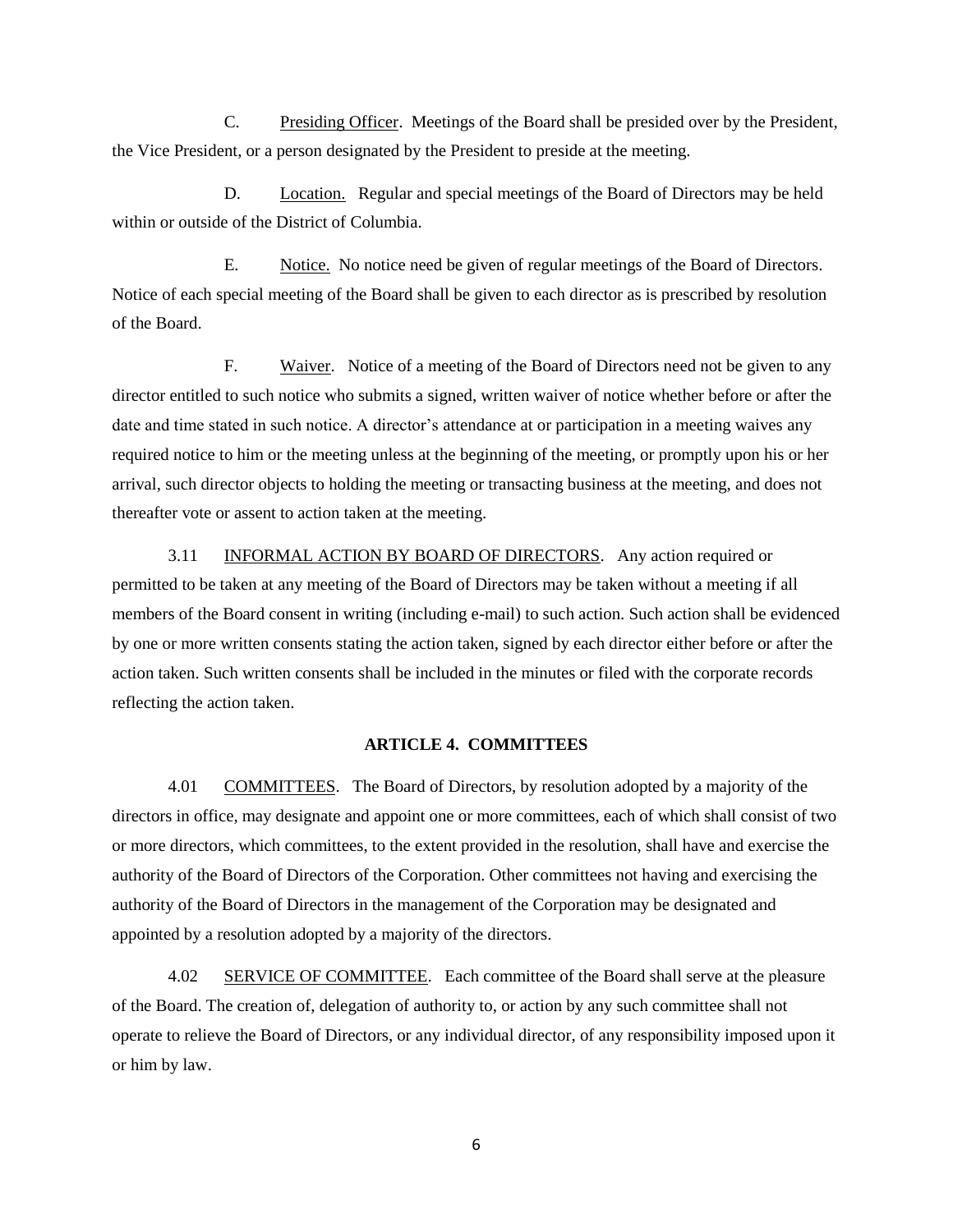C. Presiding Officer. Meetings of the Board shall be presided over by the President, the Vice President, or a person designated by the President to preside at the meeting.

D. Location. Regular and special meetings of the Board of Directors may be held within or outside of the District of Columbia.

E. Notice. No notice need be given of regular meetings of the Board of Directors. Notice of each special meeting of the Board shall be given to each director as is prescribed by resolution of the Board.

F. Waiver. Notice of a meeting of the Board of Directors need not be given to any director entitled to such notice who submits a signed, written waiver of notice whether before or after the date and time stated in such notice. A director's attendance at or participation in a meeting waives any required notice to him or the meeting unless at the beginning of the meeting, or promptly upon his or her arrival, such director objects to holding the meeting or transacting business at the meeting, and does not thereafter vote or assent to action taken at the meeting.

3.11 INFORMAL ACTION BY BOARD OF DIRECTORS. Any action required or permitted to be taken at any meeting of the Board of Directors may be taken without a meeting if all members of the Board consent in writing (including e-mail) to such action. Such action shall be evidenced by one or more written consents stating the action taken, signed by each director either before or after the action taken. Such written consents shall be included in the minutes or filed with the corporate records reflecting the action taken.

# **ARTICLE 4. COMMITTEES**

4.01 COMMITTEES. The Board of Directors, by resolution adopted by a majority of the directors in office, may designate and appoint one or more committees, each of which shall consist of two or more directors, which committees, to the extent provided in the resolution, shall have and exercise the authority of the Board of Directors of the Corporation. Other committees not having and exercising the authority of the Board of Directors in the management of the Corporation may be designated and appointed by a resolution adopted by a majority of the directors.

4.02 SERVICE OF COMMITTEE. Each committee of the Board shall serve at the pleasure of the Board. The creation of, delegation of authority to, or action by any such committee shall not operate to relieve the Board of Directors, or any individual director, of any responsibility imposed upon it or him by law.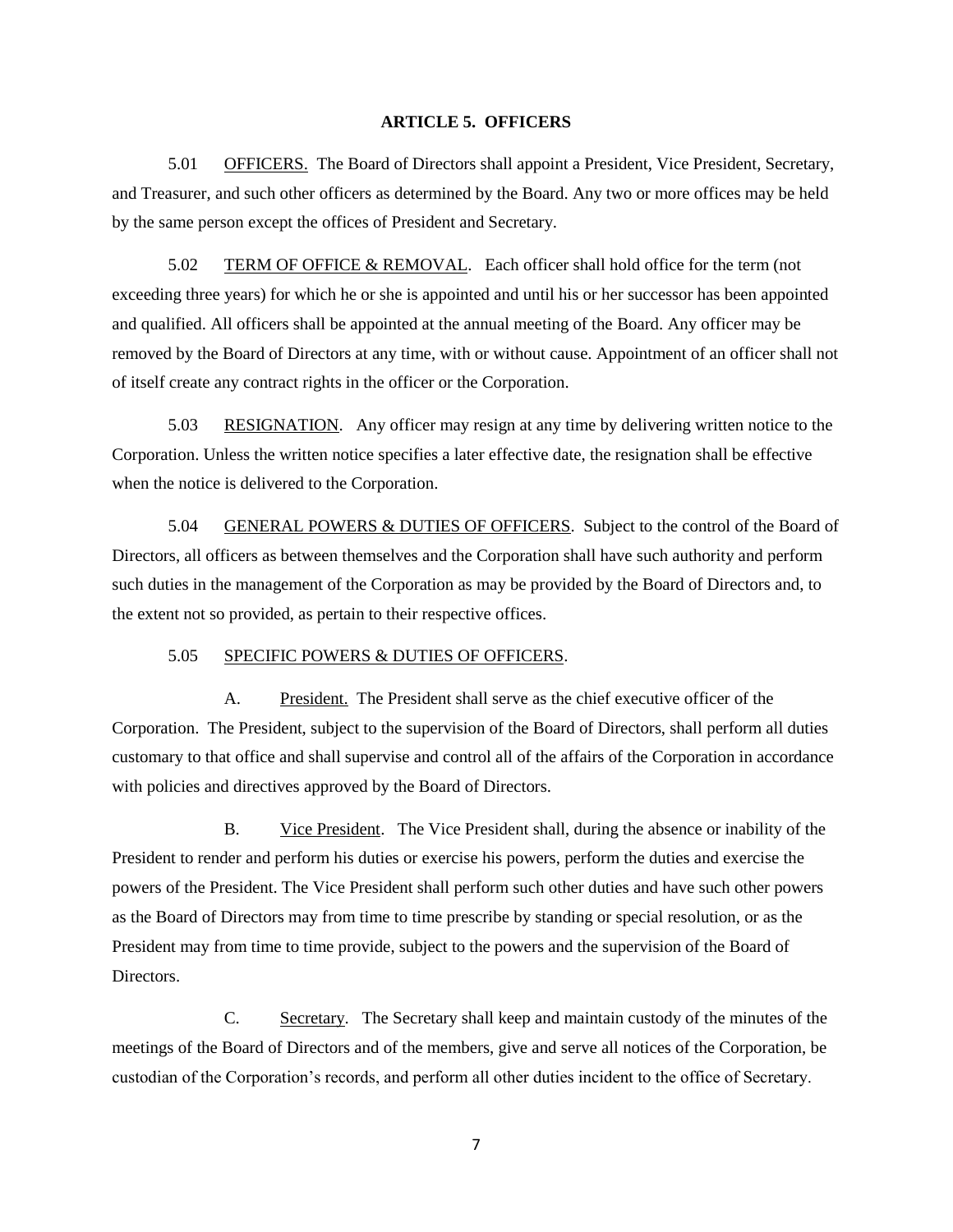## **ARTICLE 5. OFFICERS**

5.01 OFFICERS. The Board of Directors shall appoint a President, Vice President, Secretary, and Treasurer, and such other officers as determined by the Board. Any two or more offices may be held by the same person except the offices of President and Secretary.

5.02 TERM OF OFFICE & REMOVAL. Each officer shall hold office for the term (not exceeding three years) for which he or she is appointed and until his or her successor has been appointed and qualified. All officers shall be appointed at the annual meeting of the Board. Any officer may be removed by the Board of Directors at any time, with or without cause. Appointment of an officer shall not of itself create any contract rights in the officer or the Corporation.

5.03 RESIGNATION. Any officer may resign at any time by delivering written notice to the Corporation. Unless the written notice specifies a later effective date, the resignation shall be effective when the notice is delivered to the Corporation.

5.04 GENERAL POWERS & DUTIES OF OFFICERS. Subject to the control of the Board of Directors, all officers as between themselves and the Corporation shall have such authority and perform such duties in the management of the Corporation as may be provided by the Board of Directors and, to the extent not so provided, as pertain to their respective offices.

#### 5.05 SPECIFIC POWERS & DUTIES OF OFFICERS.

A. President. The President shall serve as the chief executive officer of the Corporation. The President, subject to the supervision of the Board of Directors, shall perform all duties customary to that office and shall supervise and control all of the affairs of the Corporation in accordance with policies and directives approved by the Board of Directors.

B. Vice President. The Vice President shall, during the absence or inability of the President to render and perform his duties or exercise his powers, perform the duties and exercise the powers of the President. The Vice President shall perform such other duties and have such other powers as the Board of Directors may from time to time prescribe by standing or special resolution, or as the President may from time to time provide, subject to the powers and the supervision of the Board of Directors.

C. Secretary. The Secretary shall keep and maintain custody of the minutes of the meetings of the Board of Directors and of the members, give and serve all notices of the Corporation, be custodian of the Corporation's records, and perform all other duties incident to the office of Secretary.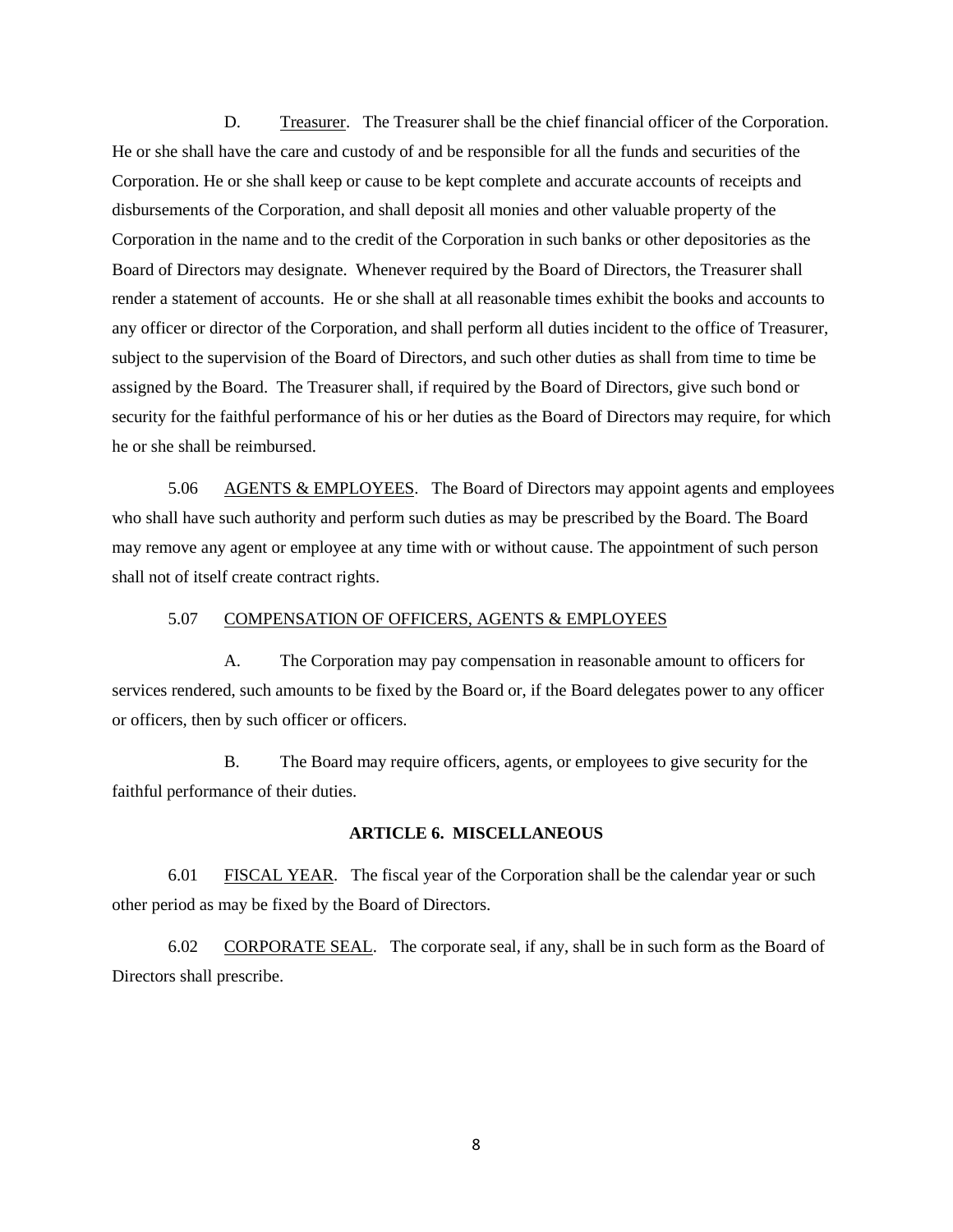D. Treasurer. The Treasurer shall be the chief financial officer of the Corporation. He or she shall have the care and custody of and be responsible for all the funds and securities of the Corporation. He or she shall keep or cause to be kept complete and accurate accounts of receipts and disbursements of the Corporation, and shall deposit all monies and other valuable property of the Corporation in the name and to the credit of the Corporation in such banks or other depositories as the Board of Directors may designate. Whenever required by the Board of Directors, the Treasurer shall render a statement of accounts. He or she shall at all reasonable times exhibit the books and accounts to any officer or director of the Corporation, and shall perform all duties incident to the office of Treasurer, subject to the supervision of the Board of Directors, and such other duties as shall from time to time be assigned by the Board. The Treasurer shall, if required by the Board of Directors, give such bond or security for the faithful performance of his or her duties as the Board of Directors may require, for which he or she shall be reimbursed.

5.06 AGENTS & EMPLOYEES. The Board of Directors may appoint agents and employees who shall have such authority and perform such duties as may be prescribed by the Board. The Board may remove any agent or employee at any time with or without cause. The appointment of such person shall not of itself create contract rights.

## 5.07 COMPENSATION OF OFFICERS, AGENTS & EMPLOYEES

A. The Corporation may pay compensation in reasonable amount to officers for services rendered, such amounts to be fixed by the Board or, if the Board delegates power to any officer or officers, then by such officer or officers.

B. The Board may require officers, agents, or employees to give security for the faithful performance of their duties.

## **ARTICLE 6. MISCELLANEOUS**

6.01 FISCAL YEAR. The fiscal year of the Corporation shall be the calendar year or such other period as may be fixed by the Board of Directors.

6.02 CORPORATE SEAL. The corporate seal, if any, shall be in such form as the Board of Directors shall prescribe.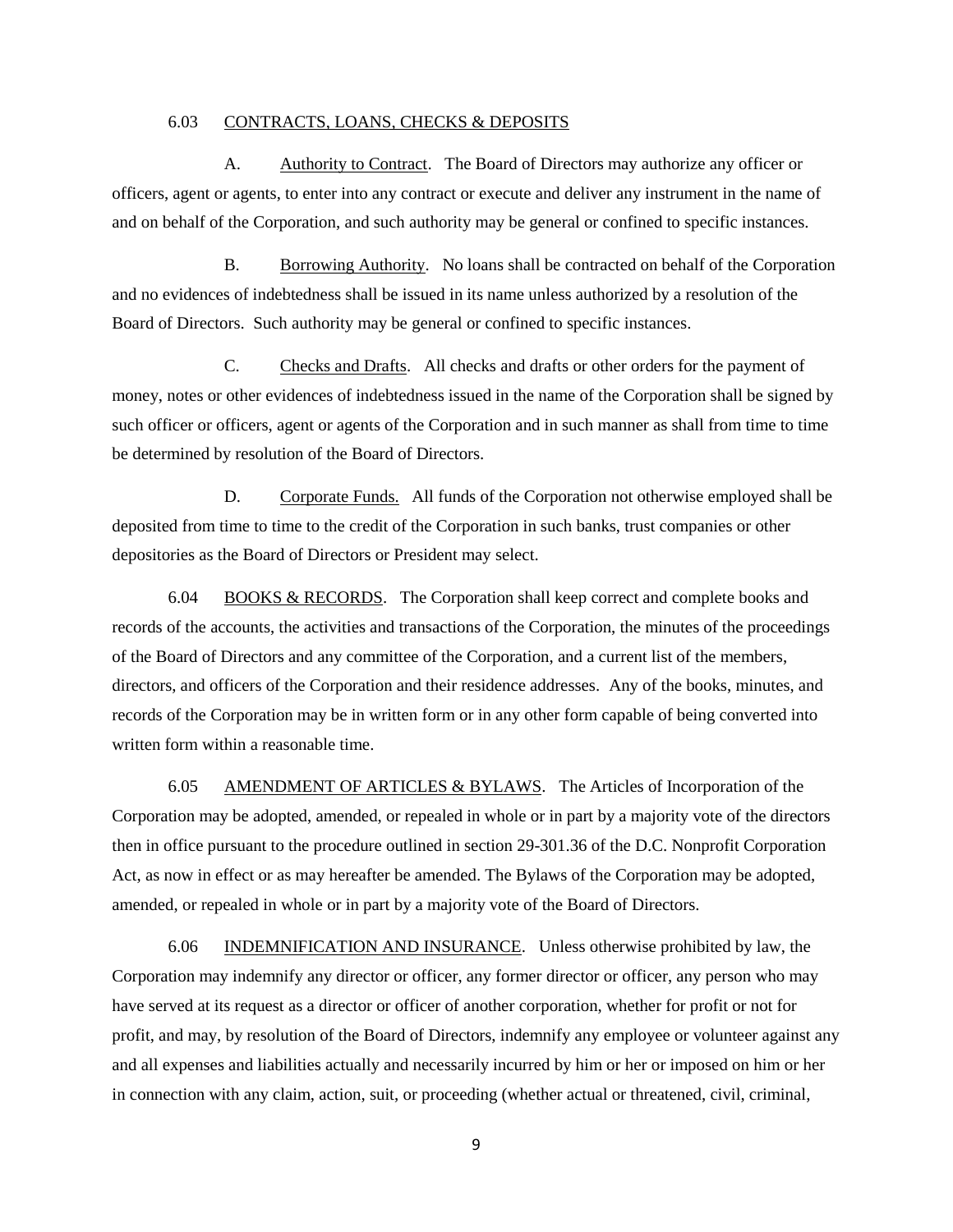## 6.03 CONTRACTS, LOANS, CHECKS & DEPOSITS

A. Authority to Contract. The Board of Directors may authorize any officer or officers, agent or agents, to enter into any contract or execute and deliver any instrument in the name of and on behalf of the Corporation, and such authority may be general or confined to specific instances.

B. Borrowing Authority. No loans shall be contracted on behalf of the Corporation and no evidences of indebtedness shall be issued in its name unless authorized by a resolution of the Board of Directors. Such authority may be general or confined to specific instances.

C. Checks and Drafts. All checks and drafts or other orders for the payment of money, notes or other evidences of indebtedness issued in the name of the Corporation shall be signed by such officer or officers, agent or agents of the Corporation and in such manner as shall from time to time be determined by resolution of the Board of Directors.

D. Corporate Funds. All funds of the Corporation not otherwise employed shall be deposited from time to time to the credit of the Corporation in such banks, trust companies or other depositories as the Board of Directors or President may select.

6.04 BOOKS  $&$  RECORDS. The Corporation shall keep correct and complete books and records of the accounts, the activities and transactions of the Corporation, the minutes of the proceedings of the Board of Directors and any committee of the Corporation, and a current list of the members, directors, and officers of the Corporation and their residence addresses. Any of the books, minutes, and records of the Corporation may be in written form or in any other form capable of being converted into written form within a reasonable time.

6.05 AMENDMENT OF ARTICLES & BYLAWS. The Articles of Incorporation of the Corporation may be adopted, amended, or repealed in whole or in part by a majority vote of the directors then in office pursuant to the procedure outlined in section 29-301.36 of the D.C. Nonprofit Corporation Act, as now in effect or as may hereafter be amended. The Bylaws of the Corporation may be adopted, amended, or repealed in whole or in part by a majority vote of the Board of Directors.

6.06 INDEMNIFICATION AND INSURANCE. Unless otherwise prohibited by law, the Corporation may indemnify any director or officer, any former director or officer, any person who may have served at its request as a director or officer of another corporation, whether for profit or not for profit, and may, by resolution of the Board of Directors, indemnify any employee or volunteer against any and all expenses and liabilities actually and necessarily incurred by him or her or imposed on him or her in connection with any claim, action, suit, or proceeding (whether actual or threatened, civil, criminal,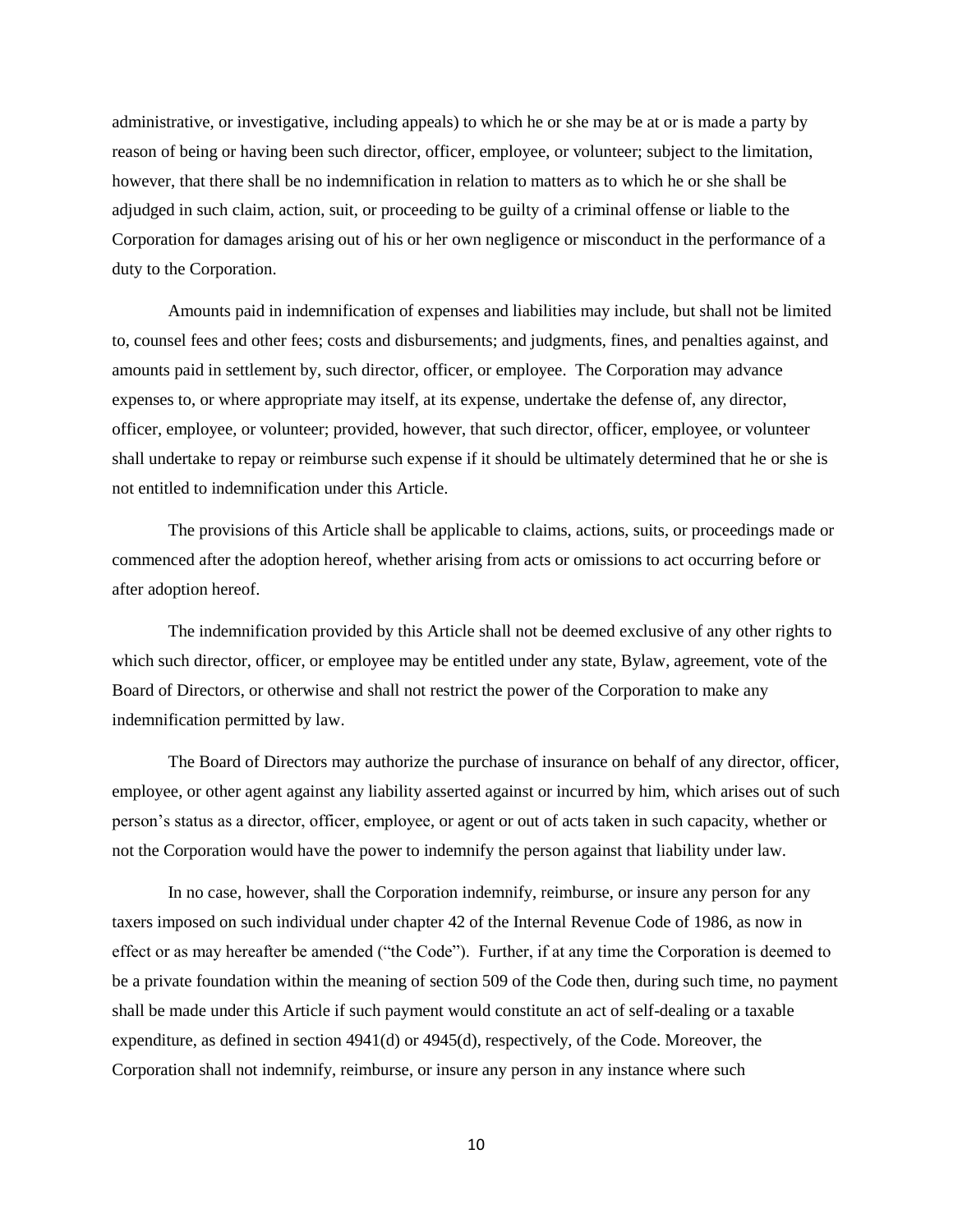administrative, or investigative, including appeals) to which he or she may be at or is made a party by reason of being or having been such director, officer, employee, or volunteer; subject to the limitation, however, that there shall be no indemnification in relation to matters as to which he or she shall be adjudged in such claim, action, suit, or proceeding to be guilty of a criminal offense or liable to the Corporation for damages arising out of his or her own negligence or misconduct in the performance of a duty to the Corporation.

Amounts paid in indemnification of expenses and liabilities may include, but shall not be limited to, counsel fees and other fees; costs and disbursements; and judgments, fines, and penalties against, and amounts paid in settlement by, such director, officer, or employee. The Corporation may advance expenses to, or where appropriate may itself, at its expense, undertake the defense of, any director, officer, employee, or volunteer; provided, however, that such director, officer, employee, or volunteer shall undertake to repay or reimburse such expense if it should be ultimately determined that he or she is not entitled to indemnification under this Article.

The provisions of this Article shall be applicable to claims, actions, suits, or proceedings made or commenced after the adoption hereof, whether arising from acts or omissions to act occurring before or after adoption hereof.

The indemnification provided by this Article shall not be deemed exclusive of any other rights to which such director, officer, or employee may be entitled under any state, Bylaw, agreement, vote of the Board of Directors, or otherwise and shall not restrict the power of the Corporation to make any indemnification permitted by law.

The Board of Directors may authorize the purchase of insurance on behalf of any director, officer, employee, or other agent against any liability asserted against or incurred by him, which arises out of such person's status as a director, officer, employee, or agent or out of acts taken in such capacity, whether or not the Corporation would have the power to indemnify the person against that liability under law.

In no case, however, shall the Corporation indemnify, reimburse, or insure any person for any taxers imposed on such individual under chapter 42 of the Internal Revenue Code of 1986, as now in effect or as may hereafter be amended ("the Code"). Further, if at any time the Corporation is deemed to be a private foundation within the meaning of section 509 of the Code then, during such time, no payment shall be made under this Article if such payment would constitute an act of self-dealing or a taxable expenditure, as defined in section 4941(d) or 4945(d), respectively, of the Code. Moreover, the Corporation shall not indemnify, reimburse, or insure any person in any instance where such